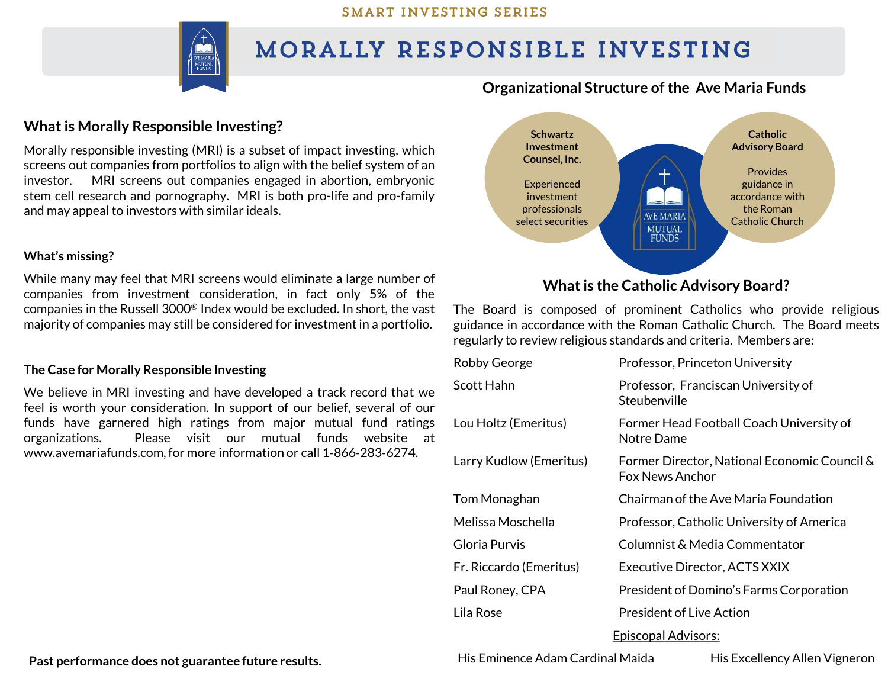#### SMART INVESTING SERIES



## MORALLY RESPONSIBLE INVESTING

### **Organizational Structure of the Ave Maria Funds**

## **What is Morally Responsible Investing?**

Morally responsible investing (MRI) is a subset of impact investing, which screens out companies from portfolios to align with the belief system of an investor. MRI screens out companies engaged in abortion, embryonic stem cell research and pornography. MRI is both pro-life and pro-family and may appeal to investors with similar ideals.

#### **What's missing?**

While many may feel that MRI screens would eliminate a large number of companies from investment consideration, in fact only 5% of the companies in the Russell 3000® Index would be excluded. In short, the vast majority of companies may still be considered for investment in a portfolio.

#### **The Case for Morally Responsible Investing**

We believe in MRI investing and have developed a track record that we feel is worth your consideration. In support of our belief, several of our funds have garnered high ratings from major mutual fund ratings organizations. Please visit our mutual funds website at www.avemariafunds.com,for more information or call 1‐866‐283‐6274.



## **What is the Catholic Advisory Board?**

The Board is composed of prominent Catholics who provide religious guidance in accordance with the Roman Catholic Church. The Board meets regularly to review religious standards and criteria. Members are:

| <b>Robby George</b>         | Professor, Princeton University                                        |  |  |
|-----------------------------|------------------------------------------------------------------------|--|--|
| Scott Hahn                  | Professor, Franciscan University of<br>Steubenville                    |  |  |
| Lou Holtz (Emeritus)        | Former Head Football Coach University of<br>Notre Dame                 |  |  |
| Larry Kudlow (Emeritus)     | Former Director, National Economic Council &<br><b>Fox News Anchor</b> |  |  |
| Tom Monaghan                | Chairman of the Ave Maria Foundation                                   |  |  |
| Melissa Moschella           | Professor, Catholic University of America                              |  |  |
| Gloria Purvis               | Columnist & Media Commentator                                          |  |  |
| Fr. Riccardo (Emeritus)     | Executive Director, ACTS XXIX                                          |  |  |
| Paul Roney, CPA             | President of Domino's Farms Corporation                                |  |  |
| Lila Rose                   | <b>President of Live Action</b>                                        |  |  |
| <u> Episcopal Advisors:</u> |                                                                        |  |  |

His Eminence Adam Cardinal Maida His Excellency Allen Vigneron